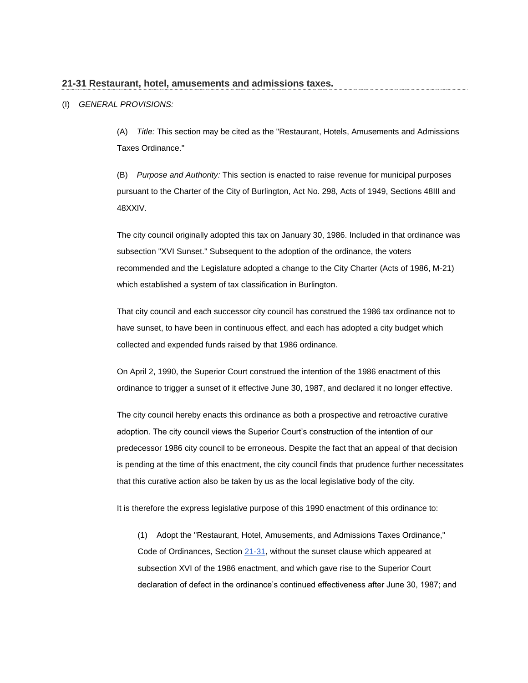## **21-31 Restaurant, hotel, amusements and admissions taxes.**

# (I) *GENERAL PROVISIONS:*

(A) *Title:* This section may be cited as the "Restaurant, Hotels, Amusements and Admissions Taxes Ordinance."

(B) *Purpose and Authority:* This section is enacted to raise revenue for municipal purposes pursuant to the Charter of the City of Burlington, Act No. 298, Acts of 1949, Sections 48III and 48XXIV.

The city council originally adopted this tax on January 30, 1986. Included in that ordinance was subsection "XVI Sunset." Subsequent to the adoption of the ordinance, the voters recommended and the Legislature adopted a change to the City Charter (Acts of 1986, M-21) which established a system of tax classification in Burlington.

That city council and each successor city council has construed the 1986 tax ordinance not to have sunset, to have been in continuous effect, and each has adopted a city budget which collected and expended funds raised by that 1986 ordinance.

On April 2, 1990, the Superior Court construed the intention of the 1986 enactment of this ordinance to trigger a sunset of it effective June 30, 1987, and declared it no longer effective.

The city council hereby enacts this ordinance as both a prospective and retroactive curative adoption. The city council views the Superior Court's construction of the intention of our predecessor 1986 city council to be erroneous. Despite the fact that an appeal of that decision is pending at the time of this enactment, the city council finds that prudence further necessitates that this curative action also be taken by us as the local legislative body of the city.

It is therefore the express legislative purpose of this 1990 enactment of this ordinance to:

(1) Adopt the "Restaurant, Hotel, Amusements, and Admissions Taxes Ordinance," Code of Ordinances, Sectio[n 21-31,](http://www.codepublishing.com/VT/Burlington/html/Burlington21/Burlington2101.html#21-31) without the sunset clause which appeared at subsection XVI of the 1986 enactment, and which gave rise to the Superior Court declaration of defect in the ordinance's continued effectiveness after June 30, 1987; and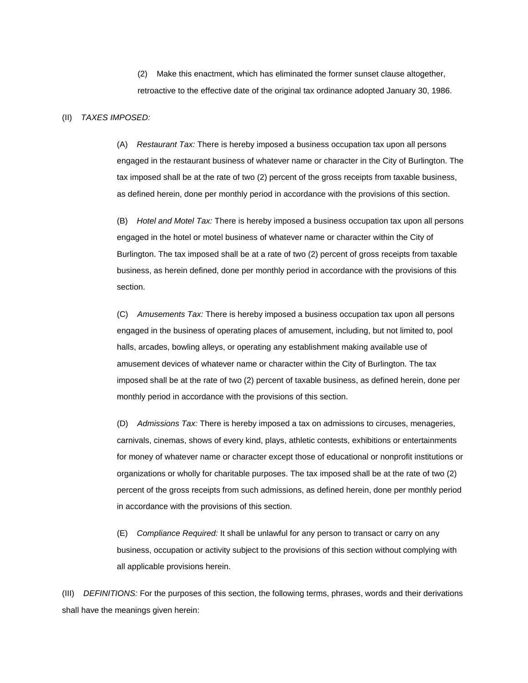(2) Make this enactment, which has eliminated the former sunset clause altogether, retroactive to the effective date of the original tax ordinance adopted January 30, 1986.

#### (II) *TAXES IMPOSED:*

(A) *Restaurant Tax:* There is hereby imposed a business occupation tax upon all persons engaged in the restaurant business of whatever name or character in the City of Burlington. The tax imposed shall be at the rate of two (2) percent of the gross receipts from taxable business, as defined herein, done per monthly period in accordance with the provisions of this section.

(B) *Hotel and Motel Tax:* There is hereby imposed a business occupation tax upon all persons engaged in the hotel or motel business of whatever name or character within the City of Burlington. The tax imposed shall be at a rate of two (2) percent of gross receipts from taxable business, as herein defined, done per monthly period in accordance with the provisions of this section.

(C) *Amusements Tax:* There is hereby imposed a business occupation tax upon all persons engaged in the business of operating places of amusement, including, but not limited to, pool halls, arcades, bowling alleys, or operating any establishment making available use of amusement devices of whatever name or character within the City of Burlington. The tax imposed shall be at the rate of two (2) percent of taxable business, as defined herein, done per monthly period in accordance with the provisions of this section.

(D) *Admissions Tax:* There is hereby imposed a tax on admissions to circuses, menageries, carnivals, cinemas, shows of every kind, plays, athletic contests, exhibitions or entertainments for money of whatever name or character except those of educational or nonprofit institutions or organizations or wholly for charitable purposes. The tax imposed shall be at the rate of two (2) percent of the gross receipts from such admissions, as defined herein, done per monthly period in accordance with the provisions of this section.

(E) *Compliance Required:* It shall be unlawful for any person to transact or carry on any business, occupation or activity subject to the provisions of this section without complying with all applicable provisions herein.

(III) *DEFINITIONS:* For the purposes of this section, the following terms, phrases, words and their derivations shall have the meanings given herein: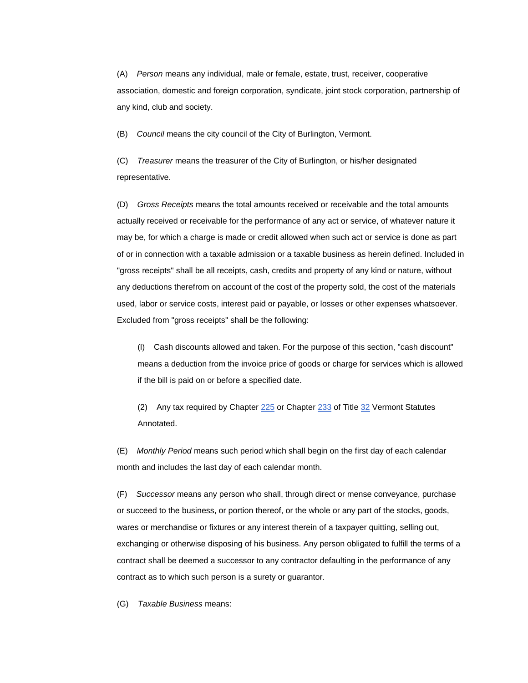(A) *Person* means any individual, male or female, estate, trust, receiver, cooperative association, domestic and foreign corporation, syndicate, joint stock corporation, partnership of any kind, club and society.

(B) *Council* means the city council of the City of Burlington, Vermont.

(C) *Treasurer* means the treasurer of the City of Burlington, or his/her designated representative.

(D) *Gross Receipts* means the total amounts received or receivable and the total amounts actually received or receivable for the performance of any act or service, of whatever nature it may be, for which a charge is made or credit allowed when such act or service is done as part of or in connection with a taxable admission or a taxable business as herein defined. Included in "gross receipts" shall be all receipts, cash, credits and property of any kind or nature, without any deductions therefrom on account of the cost of the property sold, the cost of the materials used, labor or service costs, interest paid or payable, or losses or other expenses whatsoever. Excluded from "gross receipts" shall be the following:

(l) Cash discounts allowed and taken. For the purpose of this section, "cash discount" means a deduction from the invoice price of goods or charge for services which is allowed if the bill is paid on or before a specified date.

(2) Any tax required by Chapter  $225$  or Chapter  $233$  of Title  $32$  Vermont Statutes Annotated.

(E) *Monthly Period* means such period which shall begin on the first day of each calendar month and includes the last day of each calendar month.

(F) *Successor* means any person who shall, through direct or mense conveyance, purchase or succeed to the business, or portion thereof, or the whole or any part of the stocks, goods, wares or merchandise or fixtures or any interest therein of a taxpayer quitting, selling out, exchanging or otherwise disposing of his business. Any person obligated to fulfill the terms of a contract shall be deemed a successor to any contractor defaulting in the performance of any contract as to which such person is a surety or guarantor.

(G) *Taxable Business* means: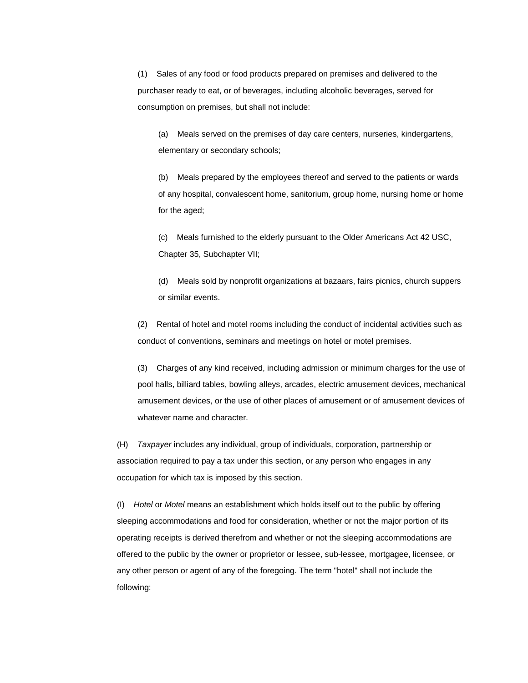(1) Sales of any food or food products prepared on premises and delivered to the purchaser ready to eat, or of beverages, including alcoholic beverages, served for consumption on premises, but shall not include:

(a) Meals served on the premises of day care centers, nurseries, kindergartens, elementary or secondary schools;

(b) Meals prepared by the employees thereof and served to the patients or wards of any hospital, convalescent home, sanitorium, group home, nursing home or home for the aged;

(c) Meals furnished to the elderly pursuant to the Older Americans Act 42 USC, Chapter 35, Subchapter VII;

(d) Meals sold by nonprofit organizations at bazaars, fairs picnics, church suppers or similar events.

(2) Rental of hotel and motel rooms including the conduct of incidental activities such as conduct of conventions, seminars and meetings on hotel or motel premises.

(3) Charges of any kind received, including admission or minimum charges for the use of pool halls, billiard tables, bowling alleys, arcades, electric amusement devices, mechanical amusement devices, or the use of other places of amusement or of amusement devices of whatever name and character.

(H) *Taxpayer* includes any individual, group of individuals, corporation, partnership or association required to pay a tax under this section, or any person who engages in any occupation for which tax is imposed by this section.

(I) *Hotel* or *Motel* means an establishment which holds itself out to the public by offering sleeping accommodations and food for consideration, whether or not the major portion of its operating receipts is derived therefrom and whether or not the sleeping accommodations are offered to the public by the owner or proprietor or lessee, sub-lessee, mortgagee, licensee, or any other person or agent of any of the foregoing. The term "hotel" shall not include the following: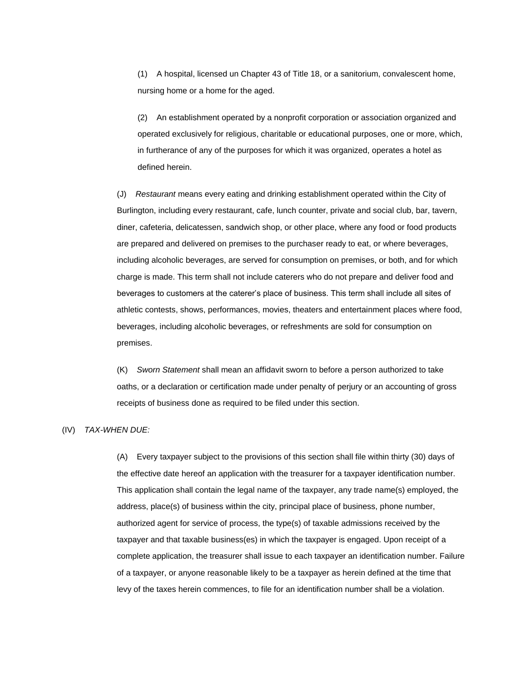(1) A hospital, licensed un Chapter 43 of Title 18, or a sanitorium, convalescent home, nursing home or a home for the aged.

(2) An establishment operated by a nonprofit corporation or association organized and operated exclusively for religious, charitable or educational purposes, one or more, which, in furtherance of any of the purposes for which it was organized, operates a hotel as defined herein.

(J) *Restaurant* means every eating and drinking establishment operated within the City of Burlington, including every restaurant, cafe, lunch counter, private and social club, bar, tavern, diner, cafeteria, delicatessen, sandwich shop, or other place, where any food or food products are prepared and delivered on premises to the purchaser ready to eat, or where beverages, including alcoholic beverages, are served for consumption on premises, or both, and for which charge is made. This term shall not include caterers who do not prepare and deliver food and beverages to customers at the caterer's place of business. This term shall include all sites of athletic contests, shows, performances, movies, theaters and entertainment places where food, beverages, including alcoholic beverages, or refreshments are sold for consumption on premises.

(K) *Sworn Statement* shall mean an affidavit sworn to before a person authorized to take oaths, or a declaration or certification made under penalty of perjury or an accounting of gross receipts of business done as required to be filed under this section.

# (IV) *TAX-WHEN DUE:*

(A) Every taxpayer subject to the provisions of this section shall file within thirty (30) days of the effective date hereof an application with the treasurer for a taxpayer identification number. This application shall contain the legal name of the taxpayer, any trade name(s) employed, the address, place(s) of business within the city, principal place of business, phone number, authorized agent for service of process, the type(s) of taxable admissions received by the taxpayer and that taxable business(es) in which the taxpayer is engaged. Upon receipt of a complete application, the treasurer shall issue to each taxpayer an identification number. Failure of a taxpayer, or anyone reasonable likely to be a taxpayer as herein defined at the time that levy of the taxes herein commences, to file for an identification number shall be a violation.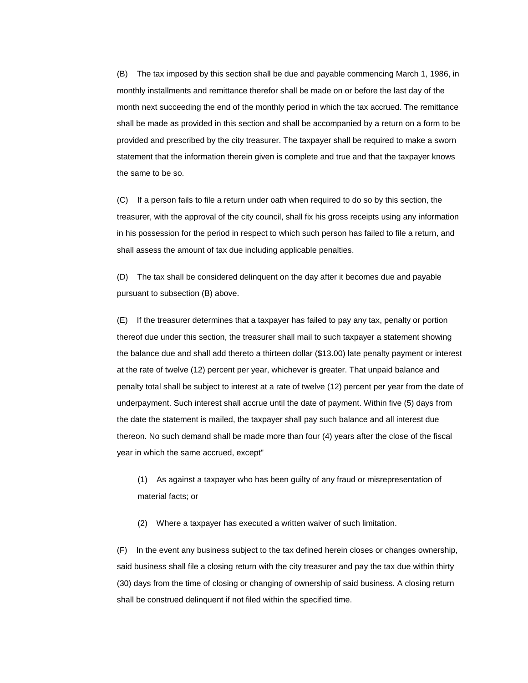(B) The tax imposed by this section shall be due and payable commencing March 1, 1986, in monthly installments and remittance therefor shall be made on or before the last day of the month next succeeding the end of the monthly period in which the tax accrued. The remittance shall be made as provided in this section and shall be accompanied by a return on a form to be provided and prescribed by the city treasurer. The taxpayer shall be required to make a sworn statement that the information therein given is complete and true and that the taxpayer knows the same to be so.

(C) If a person fails to file a return under oath when required to do so by this section, the treasurer, with the approval of the city council, shall fix his gross receipts using any information in his possession for the period in respect to which such person has failed to file a return, and shall assess the amount of tax due including applicable penalties.

(D) The tax shall be considered delinquent on the day after it becomes due and payable pursuant to subsection (B) above.

(E) If the treasurer determines that a taxpayer has failed to pay any tax, penalty or portion thereof due under this section, the treasurer shall mail to such taxpayer a statement showing the balance due and shall add thereto a thirteen dollar (\$13.00) late penalty payment or interest at the rate of twelve (12) percent per year, whichever is greater. That unpaid balance and penalty total shall be subject to interest at a rate of twelve (12) percent per year from the date of underpayment. Such interest shall accrue until the date of payment. Within five (5) days from the date the statement is mailed, the taxpayer shall pay such balance and all interest due thereon. No such demand shall be made more than four (4) years after the close of the fiscal year in which the same accrued, except"

(1) As against a taxpayer who has been guilty of any fraud or misrepresentation of material facts; or

(2) Where a taxpayer has executed a written waiver of such limitation.

(F) In the event any business subject to the tax defined herein closes or changes ownership, said business shall file a closing return with the city treasurer and pay the tax due within thirty (30) days from the time of closing or changing of ownership of said business. A closing return shall be construed delinquent if not filed within the specified time.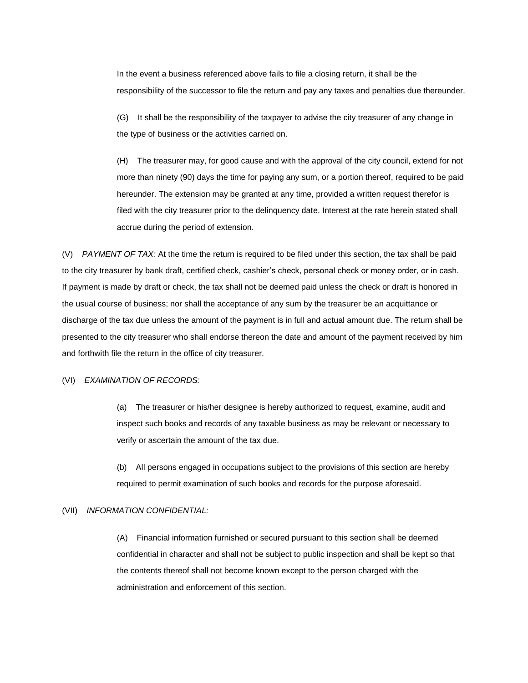In the event a business referenced above fails to file a closing return, it shall be the responsibility of the successor to file the return and pay any taxes and penalties due thereunder.

(G) It shall be the responsibility of the taxpayer to advise the city treasurer of any change in the type of business or the activities carried on.

(H) The treasurer may, for good cause and with the approval of the city council, extend for not more than ninety (90) days the time for paying any sum, or a portion thereof, required to be paid hereunder. The extension may be granted at any time, provided a written request therefor is filed with the city treasurer prior to the delinquency date. Interest at the rate herein stated shall accrue during the period of extension.

(V) *PAYMENT OF TAX:* At the time the return is required to be filed under this section, the tax shall be paid to the city treasurer by bank draft, certified check, cashier's check, personal check or money order, or in cash. If payment is made by draft or check, the tax shall not be deemed paid unless the check or draft is honored in the usual course of business; nor shall the acceptance of any sum by the treasurer be an acquittance or discharge of the tax due unless the amount of the payment is in full and actual amount due. The return shall be presented to the city treasurer who shall endorse thereon the date and amount of the payment received by him and forthwith file the return in the office of city treasurer.

### (VI) *EXAMINATION OF RECORDS:*

(a) The treasurer or his/her designee is hereby authorized to request, examine, audit and inspect such books and records of any taxable business as may be relevant or necessary to verify or ascertain the amount of the tax due.

(b) All persons engaged in occupations subject to the provisions of this section are hereby required to permit examination of such books and records for the purpose aforesaid.

### (VII) *INFORMATION CONFIDENTIAL:*

(A) Financial information furnished or secured pursuant to this section shall be deemed confidential in character and shall not be subject to public inspection and shall be kept so that the contents thereof shall not become known except to the person charged with the administration and enforcement of this section.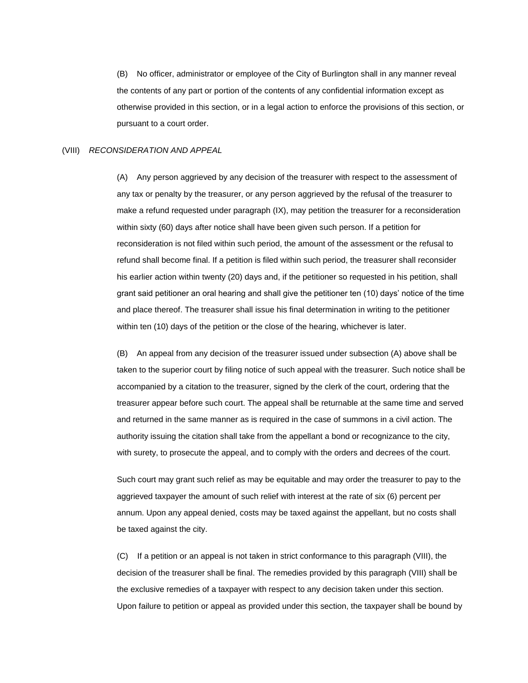(B) No officer, administrator or employee of the City of Burlington shall in any manner reveal the contents of any part or portion of the contents of any confidential information except as otherwise provided in this section, or in a legal action to enforce the provisions of this section, or pursuant to a court order.

#### (VIII) *RECONSIDERATION AND APPEAL*

(A) Any person aggrieved by any decision of the treasurer with respect to the assessment of any tax or penalty by the treasurer, or any person aggrieved by the refusal of the treasurer to make a refund requested under paragraph (IX), may petition the treasurer for a reconsideration within sixty (60) days after notice shall have been given such person. If a petition for reconsideration is not filed within such period, the amount of the assessment or the refusal to refund shall become final. If a petition is filed within such period, the treasurer shall reconsider his earlier action within twenty (20) days and, if the petitioner so requested in his petition, shall grant said petitioner an oral hearing and shall give the petitioner ten (10) days' notice of the time and place thereof. The treasurer shall issue his final determination in writing to the petitioner within ten (10) days of the petition or the close of the hearing, whichever is later.

(B) An appeal from any decision of the treasurer issued under subsection (A) above shall be taken to the superior court by filing notice of such appeal with the treasurer. Such notice shall be accompanied by a citation to the treasurer, signed by the clerk of the court, ordering that the treasurer appear before such court. The appeal shall be returnable at the same time and served and returned in the same manner as is required in the case of summons in a civil action. The authority issuing the citation shall take from the appellant a bond or recognizance to the city, with surety, to prosecute the appeal, and to comply with the orders and decrees of the court.

Such court may grant such relief as may be equitable and may order the treasurer to pay to the aggrieved taxpayer the amount of such relief with interest at the rate of six (6) percent per annum. Upon any appeal denied, costs may be taxed against the appellant, but no costs shall be taxed against the city.

(C) If a petition or an appeal is not taken in strict conformance to this paragraph (VIII), the decision of the treasurer shall be final. The remedies provided by this paragraph (VIII) shall be the exclusive remedies of a taxpayer with respect to any decision taken under this section. Upon failure to petition or appeal as provided under this section, the taxpayer shall be bound by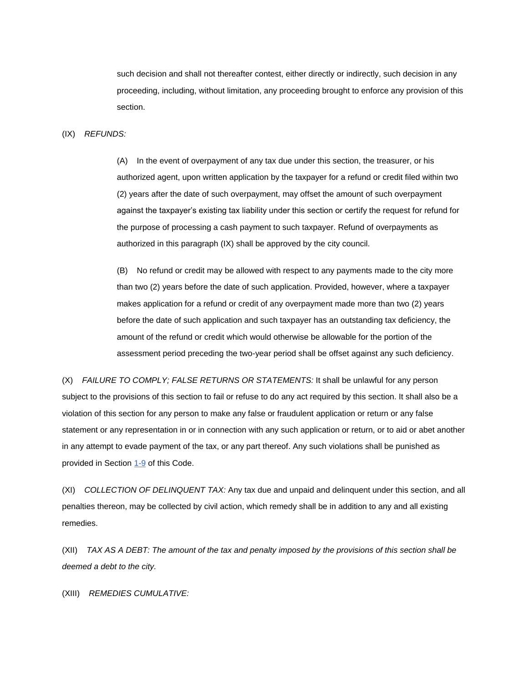such decision and shall not thereafter contest, either directly or indirectly, such decision in any proceeding, including, without limitation, any proceeding brought to enforce any provision of this section.

(IX) *REFUNDS:*

(A) In the event of overpayment of any tax due under this section, the treasurer, or his authorized agent, upon written application by the taxpayer for a refund or credit filed within two (2) years after the date of such overpayment, may offset the amount of such overpayment against the taxpayer's existing tax liability under this section or certify the request for refund for the purpose of processing a cash payment to such taxpayer. Refund of overpayments as authorized in this paragraph (IX) shall be approved by the city council.

(B) No refund or credit may be allowed with respect to any payments made to the city more than two (2) years before the date of such application. Provided, however, where a taxpayer makes application for a refund or credit of any overpayment made more than two (2) years before the date of such application and such taxpayer has an outstanding tax deficiency, the amount of the refund or credit which would otherwise be allowable for the portion of the assessment period preceding the two-year period shall be offset against any such deficiency.

(X) *FAILURE TO COMPLY; FALSE RETURNS OR STATEMENTS:* It shall be unlawful for any person subject to the provisions of this section to fail or refuse to do any act required by this section. It shall also be a violation of this section for any person to make any false or fraudulent application or return or any false statement or any representation in or in connection with any such application or return, or to aid or abet another in any attempt to evade payment of the tax, or any part thereof. Any such violations shall be punished as provided in Section [1-9](http://www.codepublishing.com/VT/Burlington/html/Burlington01/Burlington01.html#1-9) of this Code.

(XI) *COLLECTION OF DELINQUENT TAX:* Any tax due and unpaid and delinquent under this section, and all penalties thereon, may be collected by civil action, which remedy shall be in addition to any and all existing remedies.

(XII) *TAX AS A DEBT: The amount of the tax and penalty imposed by the provisions of this section shall be deemed a debt to the city.*

(XIII) *REMEDIES CUMULATIVE:*